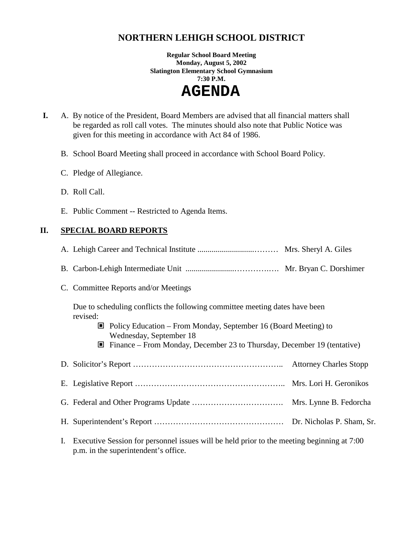# **NORTHERN LEHIGH SCHOOL DISTRICT**

**Regular School Board Meeting Monday, August 5, 2002 Slatington Elementary School Gymnasium 7:30 P.M.** 

 **AGENDA** 

- **I.** A. By notice of the President, Board Members are advised that all financial matters shall be regarded as roll call votes. The minutes should also note that Public Notice was given for this meeting in accordance with Act 84 of 1986.
	- B. School Board Meeting shall proceed in accordance with School Board Policy.
	- C. Pledge of Allegiance.
	- D. Roll Call.
	- E. Public Comment -- Restricted to Agenda Items.

### **II. SPECIAL BOARD REPORTS**

| C. Committee Reports and/or Meetings                                                                                                                                                                                                                                                   |  |
|----------------------------------------------------------------------------------------------------------------------------------------------------------------------------------------------------------------------------------------------------------------------------------------|--|
| Due to scheduling conflicts the following committee meeting dates have been<br>revised:<br>$\Box$ Policy Education – From Monday, September 16 (Board Meeting) to<br>Wednesday, September 18<br>$\blacksquare$ Finance – From Monday, December 23 to Thursday, December 19 (tentative) |  |
|                                                                                                                                                                                                                                                                                        |  |
|                                                                                                                                                                                                                                                                                        |  |
|                                                                                                                                                                                                                                                                                        |  |
|                                                                                                                                                                                                                                                                                        |  |
| Executive Session for personnel issues will be held prior to the meeting beginning at 7:00                                                                                                                                                                                             |  |

I. Executive Session for personnel issues will be held prior to the meeting beginning at 7:00 p.m. in the superintendent's office.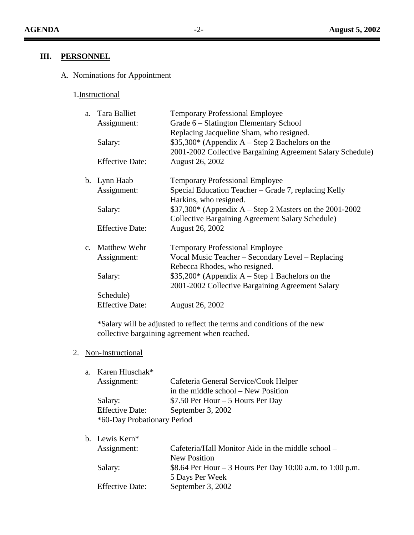$\equiv$ 

 $\overline{\phantom{a}}$ 

## **III. PERSONNEL**

# A. Nominations for Appointment

## 1.Instructional

| a. Tara Balliet        | <b>Temporary Professional Employee</b>                     |
|------------------------|------------------------------------------------------------|
| Assignment:            | Grade 6 – Slatington Elementary School                     |
|                        | Replacing Jacqueline Sham, who resigned.                   |
| Salary:                | $$35,300*$ (Appendix A – Step 2 Bachelors on the           |
|                        | 2001-2002 Collective Bargaining Agreement Salary Schedule) |
| <b>Effective Date:</b> | August 26, 2002                                            |
| b. Lynn Haab           | <b>Temporary Professional Employee</b>                     |
| Assignment:            | Special Education Teacher – Grade 7, replacing Kelly       |
|                        | Harkins, who resigned.                                     |
| Salary:                | $$37,300*$ (Appendix A – Step 2 Masters on the 2001-2002)  |
|                        | <b>Collective Bargaining Agreement Salary Schedule)</b>    |
| <b>Effective Date:</b> | <b>August 26, 2002</b>                                     |
| c. Matthew Wehr        | <b>Temporary Professional Employee</b>                     |
| Assignment:            | Vocal Music Teacher – Secondary Level – Replacing          |
|                        | Rebecca Rhodes, who resigned.                              |
| Salary:                | $$35,200*$ (Appendix A – Step 1 Bachelors on the           |
|                        | 2001-2002 Collective Bargaining Agreement Salary           |
| Schedule)              |                                                            |
| <b>Effective Date:</b> | August 26, 2002                                            |
|                        |                                                            |

\*Salary will be adjusted to reflect the terms and conditions of the new collective bargaining agreement when reached.

### 2. Non-Instructional

a. Karen Hluschak\*

| Assignment:                 | Cafeteria General Service/Cook Helper |
|-----------------------------|---------------------------------------|
|                             | in the middle school – New Position   |
| Salary:                     | \$7.50 Per Hour $-5$ Hours Per Day    |
| <b>Effective Date:</b>      | September 3, 2002                     |
| *60-Day Probationary Period |                                       |

b. Lewis Kern\*

| Assignment:            | Cafeteria/Hall Monitor Aide in the middle school –        |
|------------------------|-----------------------------------------------------------|
|                        | New Position                                              |
| Salary:                | \$8.64 Per Hour – 3 Hours Per Day 10:00 a.m. to 1:00 p.m. |
|                        | 5 Days Per Week                                           |
| <b>Effective Date:</b> | September 3, 2002                                         |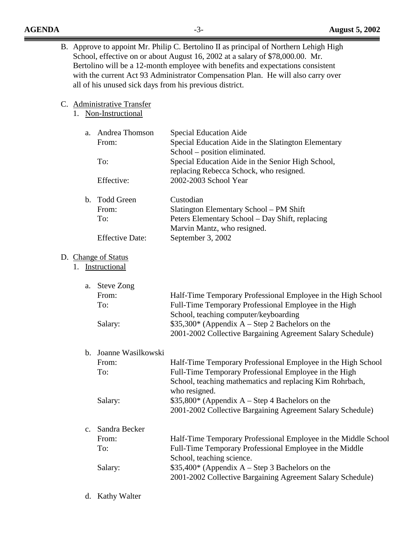- B. Approve to appoint Mr. Philip C. Bertolino II as principal of Northern Lehigh High School, effective on or about August 16, 2002 at a salary of \$78,000.00. Mr. Bertolino will be a 12-month employee with benefits and expectations consistent with the current Act 93 Administrator Compensation Plan. He will also carry over all of his unused sick days from his previous district.
- C. Administrative Transfer
	- 1. Non-Instructional

| a.                                      | Andrea Thomson<br>From:<br>To:<br>Effective:                | Special Education Aide<br>Special Education Aide in the Slatington Elementary<br>School - position eliminated.<br>Special Education Aide in the Senior High School,<br>replacing Rebecca Schock, who resigned.<br>2002-2003 School Year                                                                              |
|-----------------------------------------|-------------------------------------------------------------|----------------------------------------------------------------------------------------------------------------------------------------------------------------------------------------------------------------------------------------------------------------------------------------------------------------------|
| $\mathbf b$ .                           | <b>Todd Green</b><br>From:<br>To:<br><b>Effective Date:</b> | Custodian<br>Slatington Elementary School - PM Shift<br>Peters Elementary School - Day Shift, replacing<br>Marvin Mantz, who resigned.<br>September 3, 2002                                                                                                                                                          |
| D. Change of Status<br>1. Instructional |                                                             |                                                                                                                                                                                                                                                                                                                      |
| a.                                      | <b>Steve Zong</b><br>From:<br>To:<br>Salary:                | Half-Time Temporary Professional Employee in the High School<br>Full-Time Temporary Professional Employee in the High<br>School, teaching computer/keyboarding<br>$$35,300*$ (Appendix A – Step 2 Bachelors on the<br>2001-2002 Collective Bargaining Agreement Salary Schedule)                                     |
| $\mathbf b$ .                           | Joanne Wasilkowski<br>From:<br>To:<br>Salary:               | Half-Time Temporary Professional Employee in the High School<br>Full-Time Temporary Professional Employee in the High<br>School, teaching mathematics and replacing Kim Rohrbach,<br>who resigned.<br>$$35,800*$ (Appendix A – Step 4 Bachelors on the<br>2001-2002 Collective Bargaining Agreement Salary Schedule) |
| c.                                      | Sandra Becker<br>From:<br>To:<br>Salary:                    | Half-Time Temporary Professional Employee in the Middle School<br>Full-Time Temporary Professional Employee in the Middle<br>School, teaching science.<br>\$35,400* (Appendix A – Step 3 Bachelors on the<br>2001-2002 Collective Bargaining Agreement Salary Schedule)                                              |

d. Kathy Walter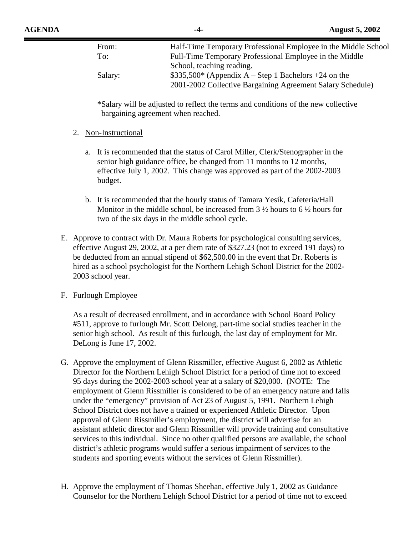| From:   | Half-Time Temporary Professional Employee in the Middle School |
|---------|----------------------------------------------------------------|
| To:     | Full-Time Temporary Professional Employee in the Middle        |
|         | School, teaching reading.                                      |
| Salary: | $$335,500^*$ (Appendix A – Step 1 Bachelors +24 on the         |
|         | 2001-2002 Collective Bargaining Agreement Salary Schedule)     |

\*Salary will be adjusted to reflect the terms and conditions of the new collective bargaining agreement when reached.

#### 2. Non-Instructional

- a. It is recommended that the status of Carol Miller, Clerk/Stenographer in the senior high guidance office, be changed from 11 months to 12 months, effective July 1, 2002. This change was approved as part of the 2002-2003 budget.
- b. It is recommended that the hourly status of Tamara Yesik, Cafeteria/Hall Monitor in the middle school, be increased from  $3\frac{1}{2}$  hours to  $6\frac{1}{2}$  hours for two of the six days in the middle school cycle.
- E. Approve to contract with Dr. Maura Roberts for psychological consulting services, effective August 29, 2002, at a per diem rate of \$327.23 (not to exceed 191 days) to be deducted from an annual stipend of \$62,500.00 in the event that Dr. Roberts is hired as a school psychologist for the Northern Lehigh School District for the 2002- 2003 school year.

### F. Furlough Employee

As a result of decreased enrollment, and in accordance with School Board Policy #511, approve to furlough Mr. Scott Delong, part-time social studies teacher in the senior high school. As result of this furlough, the last day of employment for Mr. DeLong is June 17, 2002.

- G. Approve the employment of Glenn Rissmiller, effective August 6, 2002 as Athletic Director for the Northern Lehigh School District for a period of time not to exceed 95 days during the 2002-2003 school year at a salary of \$20,000. (NOTE: The employment of Glenn Rissmiller is considered to be of an emergency nature and falls under the "emergency" provision of Act 23 of August 5, 1991. Northern Lehigh School District does not have a trained or experienced Athletic Director. Upon approval of Glenn Rissmiller's employment, the district will advertise for an assistant athletic director and Glenn Rissmiller will provide training and consultative services to this individual. Since no other qualified persons are available, the school district's athletic programs would suffer a serious impairment of services to the students and sporting events without the services of Glenn Rissmiller).
- H. Approve the employment of Thomas Sheehan, effective July 1, 2002 as Guidance Counselor for the Northern Lehigh School District for a period of time not to exceed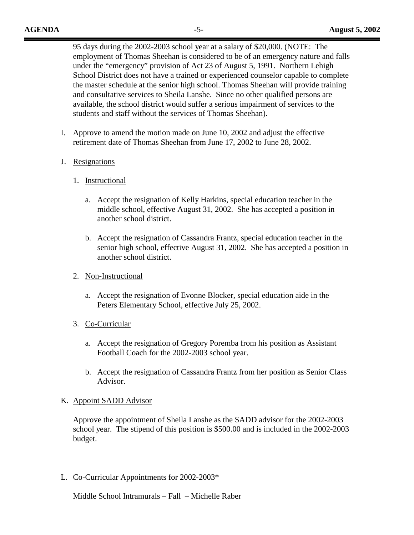95 days during the 2002-2003 school year at a salary of \$20,000. (NOTE: The employment of Thomas Sheehan is considered to be of an emergency nature and falls under the "emergency" provision of Act 23 of August 5, 1991. Northern Lehigh School District does not have a trained or experienced counselor capable to complete the master schedule at the senior high school. Thomas Sheehan will provide training and consultative services to Sheila Lanshe. Since no other qualified persons are available, the school district would suffer a serious impairment of services to the students and staff without the services of Thomas Sheehan).

- I. Approve to amend the motion made on June 10, 2002 and adjust the effective retirement date of Thomas Sheehan from June 17, 2002 to June 28, 2002.
- J. Resignations
	- 1. Instructional
		- a. Accept the resignation of Kelly Harkins, special education teacher in the middle school, effective August 31, 2002. She has accepted a position in another school district.
		- b. Accept the resignation of Cassandra Frantz, special education teacher in the senior high school, effective August 31, 2002. She has accepted a position in another school district.
	- 2. Non-Instructional
		- a. Accept the resignation of Evonne Blocker, special education aide in the Peters Elementary School, effective July 25, 2002.
	- 3. Co-Curricular
		- a. Accept the resignation of Gregory Poremba from his position as Assistant Football Coach for the 2002-2003 school year.
		- b. Accept the resignation of Cassandra Frantz from her position as Senior Class Advisor.

### K. Appoint SADD Advisor

Approve the appointment of Sheila Lanshe as the SADD advisor for the 2002-2003 school year. The stipend of this position is \$500.00 and is included in the 2002-2003 budget.

L. Co-Curricular Appointments for 2002-2003\*

Middle School Intramurals – Fall – Michelle Raber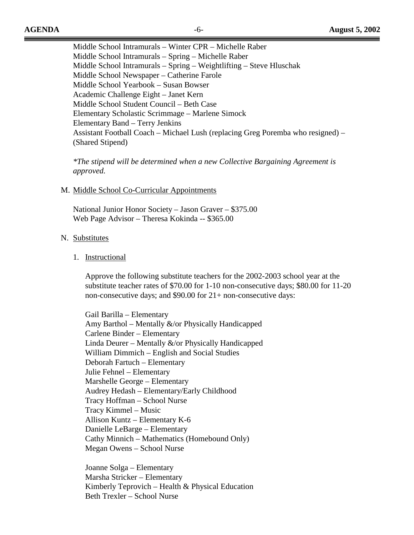Middle School Intramurals – Winter CPR – Michelle Raber Middle School Intramurals – Spring – Michelle Raber Middle School Intramurals – Spring – Weightlifting – Steve Hluschak Middle School Newspaper – Catherine Farole Middle School Yearbook – Susan Bowser Academic Challenge Eight – Janet Kern Middle School Student Council – Beth Case Elementary Scholastic Scrimmage – Marlene Simock Elementary Band – Terry Jenkins Assistant Football Coach – Michael Lush (replacing Greg Poremba who resigned) – (Shared Stipend)

*\*The stipend will be determined when a new Collective Bargaining Agreement is approved.* 

#### M. Middle School Co-Curricular Appointments

 National Junior Honor Society – Jason Graver – \$375.00 Web Page Advisor – Theresa Kokinda -- \$365.00

#### N. Substitutes

#### 1. Instructional

Approve the following substitute teachers for the 2002-2003 school year at the substitute teacher rates of \$70.00 for 1-10 non-consecutive days; \$80.00 for 11-20 non-consecutive days; and \$90.00 for 21+ non-consecutive days:

 Gail Barilla – Elementary Amy Barthol – Mentally &/or Physically Handicapped Carlene Binder – Elementary Linda Deurer – Mentally &/or Physically Handicapped William Dimmich – English and Social Studies Deborah Fartuch – Elementary Julie Fehnel – Elementary Marshelle George – Elementary Audrey Hedash – Elementary/Early Childhood Tracy Hoffman – School Nurse Tracy Kimmel – Music Allison Kuntz – Elementary K-6 Danielle LeBarge – Elementary Cathy Minnich – Mathematics (Homebound Only) Megan Owens – School Nurse

 Joanne Solga – Elementary Marsha Stricker – Elementary Kimberly Teprovich – Health & Physical Education Beth Trexler – School Nurse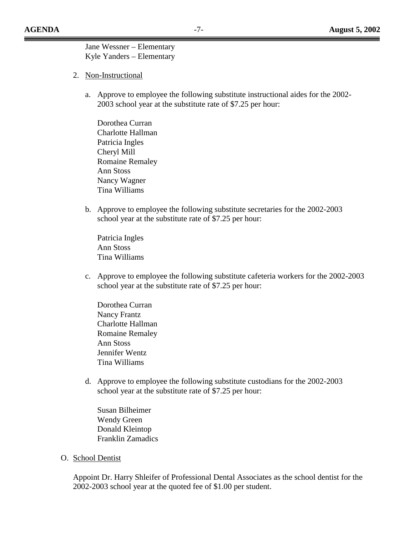Jane Wessner – Elementary Kyle Yanders – Elementary

- 2. Non-Instructional
	- a. Approve to employee the following substitute instructional aides for the 2002- 2003 school year at the substitute rate of \$7.25 per hour:
		- Dorothea Curran Charlotte Hallman Patricia Ingles Cheryl Mill Romaine Remaley Ann Stoss Nancy Wagner Tina Williams
	- b. Approve to employee the following substitute secretaries for the 2002-2003 school year at the substitute rate of \$7.25 per hour:

Patricia Ingles Ann Stoss Tina Williams

c. Approve to employee the following substitute cafeteria workers for the 2002-2003 school year at the substitute rate of \$7.25 per hour:

Dorothea Curran Nancy Frantz Charlotte Hallman Romaine Remaley Ann Stoss Jennifer Wentz Tina Williams

d. Approve to employee the following substitute custodians for the 2002-2003 school year at the substitute rate of \$7.25 per hour:

Susan Bilheimer Wendy Green Donald Kleintop Franklin Zamadics

O. School Dentist

Appoint Dr. Harry Shleifer of Professional Dental Associates as the school dentist for the 2002-2003 school year at the quoted fee of \$1.00 per student.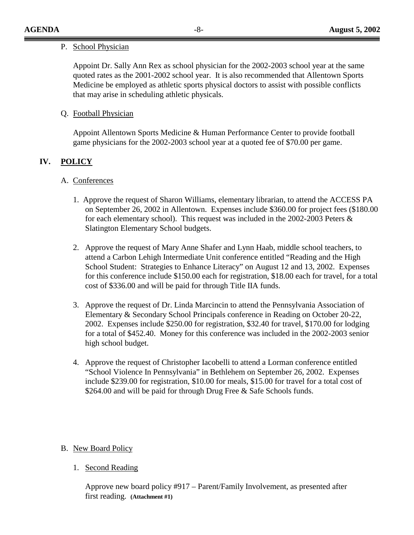#### P. School Physician

Appoint Dr. Sally Ann Rex as school physician for the 2002-2003 school year at the same quoted rates as the 2001-2002 school year. It is also recommended that Allentown Sports Medicine be employed as athletic sports physical doctors to assist with possible conflicts that may arise in scheduling athletic physicals.

### Q. Football Physician

Appoint Allentown Sports Medicine & Human Performance Center to provide football game physicians for the 2002-2003 school year at a quoted fee of \$70.00 per game.

### **IV. POLICY**

### A. Conferences

- 1. Approve the request of Sharon Williams, elementary librarian, to attend the ACCESS PA on September 26, 2002 in Allentown. Expenses include \$360.00 for project fees (\$180.00 for each elementary school). This request was included in the 2002-2003 Peters & Slatington Elementary School budgets.
- 2. Approve the request of Mary Anne Shafer and Lynn Haab, middle school teachers, to attend a Carbon Lehigh Intermediate Unit conference entitled "Reading and the High School Student: Strategies to Enhance Literacy" on August 12 and 13, 2002. Expenses for this conference include \$150.00 each for registration, \$18.00 each for travel, for a total cost of \$336.00 and will be paid for through Title IIA funds.
- 3. Approve the request of Dr. Linda Marcincin to attend the Pennsylvania Association of Elementary & Secondary School Principals conference in Reading on October 20-22, 2002. Expenses include \$250.00 for registration, \$32.40 for travel, \$170.00 for lodging for a total of \$452.40. Money for this conference was included in the 2002-2003 senior high school budget.
- 4. Approve the request of Christopher Iacobelli to attend a Lorman conference entitled "School Violence In Pennsylvania" in Bethlehem on September 26, 2002. Expenses include \$239.00 for registration, \$10.00 for meals, \$15.00 for travel for a total cost of \$264.00 and will be paid for through Drug Free & Safe Schools funds.

### B. New Board Policy

1. Second Reading

Approve new board policy #917 – Parent/Family Involvement, as presented after first reading. **(Attachment #1)**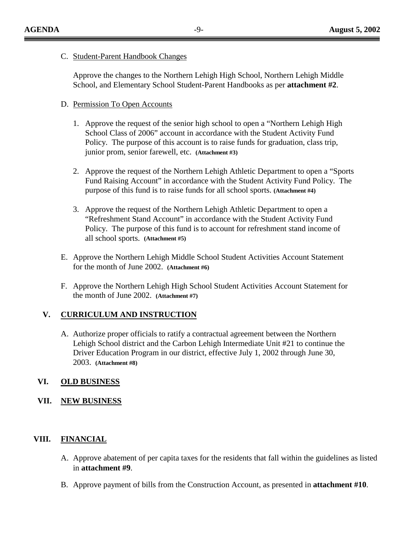#### C. Student-Parent Handbook Changes

Approve the changes to the Northern Lehigh High School, Northern Lehigh Middle School, and Elementary School Student-Parent Handbooks as per **attachment #2**.

### D. Permission To Open Accounts

- 1. Approve the request of the senior high school to open a "Northern Lehigh High School Class of 2006" account in accordance with the Student Activity Fund Policy. The purpose of this account is to raise funds for graduation, class trip, junior prom, senior farewell, etc. **(Attachment #3)**
- 2. Approve the request of the Northern Lehigh Athletic Department to open a "Sports Fund Raising Account" in accordance with the Student Activity Fund Policy. The purpose of this fund is to raise funds for all school sports. **(Attachment #4)**
- 3. Approve the request of the Northern Lehigh Athletic Department to open a "Refreshment Stand Account" in accordance with the Student Activity Fund Policy. The purpose of this fund is to account for refreshment stand income of all school sports. **(Attachment #5)**
- E. Approve the Northern Lehigh Middle School Student Activities Account Statement for the month of June 2002. **(Attachment #6)**
- F. Approve the Northern Lehigh High School Student Activities Account Statement for the month of June 2002. **(Attachment #7)**

### **V. CURRICULUM AND INSTRUCTION**

A. Authorize proper officials to ratify a contractual agreement between the Northern Lehigh School district and the Carbon Lehigh Intermediate Unit #21 to continue the Driver Education Program in our district, effective July 1, 2002 through June 30, 2003. **(Attachment #8)**

### **VI. OLD BUSINESS**

**VII. NEW BUSINESS**

### **VIII. FINANCIAL**

- A. Approve abatement of per capita taxes for the residents that fall within the guidelines as listed in **attachment #9**.
- B. Approve payment of bills from the Construction Account, as presented in **attachment #10**.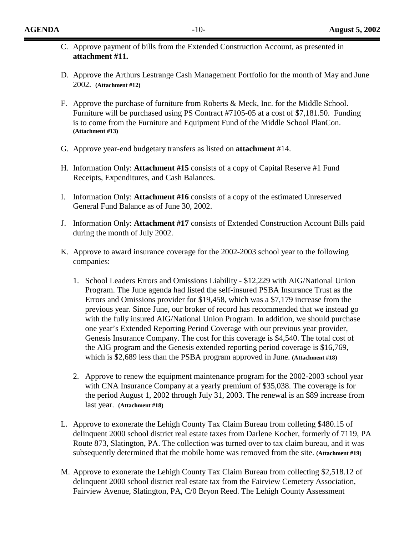- C. Approve payment of bills from the Extended Construction Account, as presented in **attachment #11.**
- D. Approve the Arthurs Lestrange Cash Management Portfolio for the month of May and June 2002. **(Attachment #12)**
- F. Approve the purchase of furniture from Roberts & Meck, Inc. for the Middle School. Furniture will be purchased using PS Contract #7105-05 at a cost of \$7,181.50. Funding is to come from the Furniture and Equipment Fund of the Middle School PlanCon. **(Attachment #13)**
- G. Approve year-end budgetary transfers as listed on **attachment** #14.
- H. Information Only: **Attachment #15** consists of a copy of Capital Reserve #1 Fund Receipts, Expenditures, and Cash Balances.
- I. Information Only: **Attachment #16** consists of a copy of the estimated Unreserved General Fund Balance as of June 30, 2002.
- J. Information Only: **Attachment #17** consists of Extended Construction Account Bills paid during the month of July 2002.
- K. Approve to award insurance coverage for the 2002-2003 school year to the following companies:
	- 1. School Leaders Errors and Omissions Liability \$12,229 with AIG/National Union Program. The June agenda had listed the self-insured PSBA Insurance Trust as the Errors and Omissions provider for \$19,458, which was a \$7,179 increase from the previous year. Since June, our broker of record has recommended that we instead go with the fully insured AIG/National Union Program. In addition, we should purchase one year's Extended Reporting Period Coverage with our previous year provider, Genesis Insurance Company. The cost for this coverage is \$4,540. The total cost of the AIG program and the Genesis extended reporting period coverage is \$16,769, which is \$2,689 less than the PSBA program approved in June. **(Attachment #18)**
	- 2. Approve to renew the equipment maintenance program for the 2002-2003 school year with CNA Insurance Company at a yearly premium of \$35,038. The coverage is for the period August 1, 2002 through July 31, 2003. The renewal is an \$89 increase from last year. **(Attachment #18)**
- L. Approve to exonerate the Lehigh County Tax Claim Bureau from colleting \$480.15 of delinquent 2000 school district real estate taxes from Darlene Kocher, formerly of 7119, PA Route 873, Slatington, PA. The collection was turned over to tax claim bureau, and it was subsequently determined that the mobile home was removed from the site. **(Attachment #19)**
- M. Approve to exonerate the Lehigh County Tax Claim Bureau from collecting \$2,518.12 of delinquent 2000 school district real estate tax from the Fairview Cemetery Association, Fairview Avenue, Slatington, PA, C/0 Bryon Reed. The Lehigh County Assessment